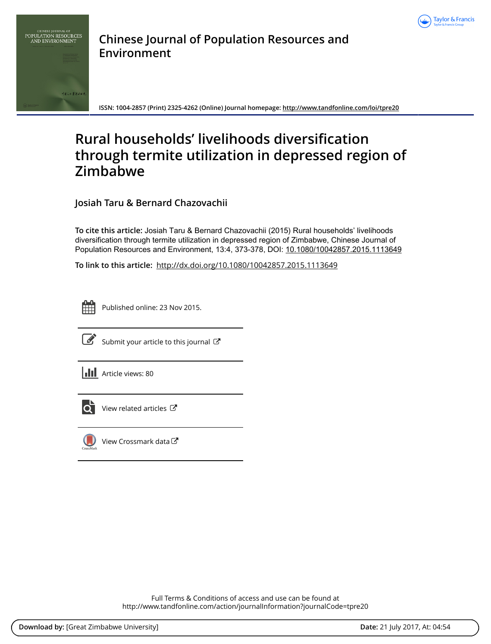



**Chinese Journal of Population Resources and Environment**

**ISSN: 1004-2857 (Print) 2325-4262 (Online) Journal homepage:<http://www.tandfonline.com/loi/tpre20>**

# **Rural households' livelihoods diversification through termite utilization in depressed region of Zimbabwe**

**Josiah Taru & Bernard Chazovachii**

**To cite this article:** Josiah Taru & Bernard Chazovachii (2015) Rural households' livelihoods diversification through termite utilization in depressed region of Zimbabwe, Chinese Journal of Population Resources and Environment, 13:4, 373-378, DOI: [10.1080/10042857.2015.1113649](http://www.tandfonline.com/action/showCitFormats?doi=10.1080/10042857.2015.1113649)

**To link to this article:** <http://dx.doi.org/10.1080/10042857.2015.1113649>



Published online: 23 Nov 2015.



 $\overrightarrow{S}$  [Submit your article to this journal](http://www.tandfonline.com/action/authorSubmission?journalCode=tpre20&show=instructions)  $\overrightarrow{S}$ 





 $\overline{\mathbf{C}}$  [View related articles](http://www.tandfonline.com/doi/mlt/10.1080/10042857.2015.1113649)  $\mathbf{C}$ 



 $\bigcirc$  [View Crossmark data](http://crossmark.crossref.org/dialog/?doi=10.1080/10042857.2015.1113649&domain=pdf&date_stamp=2015-11-23) $\mathbb{Z}$ 

Full Terms & Conditions of access and use can be found at <http://www.tandfonline.com/action/journalInformation?journalCode=tpre20>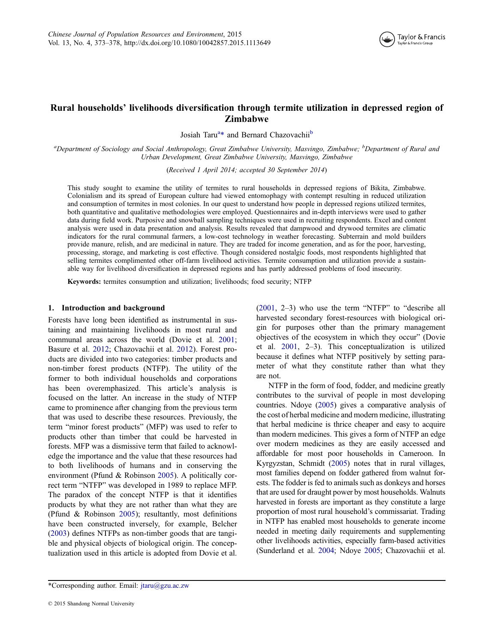

# <span id="page-1-0"></span>Rural households' livelihoods diversification through termite utilization in depressed region of Zimbabwe

Josiah Taru<sup>a</sup>\* and Bernard Chazovachii<sup>b</sup>

<sup>a</sup>Department of Sociology and Social Anthropology, Great Zimbabwe University, Masvingo, Zimbabwe; <sup>b</sup>Department of Rural and Urban Development, Great Zimbabwe University, Masvingo, Zimbabwe

(Received 1 April 2014; accepted 30 September 2014)

This study sought to examine the utility of termites to rural households in depressed regions of Bikita, Zimbabwe. Colonialism and its spread of European culture had viewed entomophagy with contempt resulting in reduced utilization and consumption of termites in most colonies. In our quest to understand how people in depressed regions utilized termites, both quantitative and qualitative methodologies were employed. Questionnaires and in-depth interviews were used to gather data during field work. Purposive and snowball sampling techniques were used in recruiting respondents. Excel and content analysis were used in data presentation and analysis. Results revealed that dampwood and drywood termites are climatic indicators for the rural communal farmers, a low-cost technology in weather forecasting. Subterrain and mold builders provide manure, relish, and are medicinal in nature. They are traded for income generation, and as for the poor, harvesting, processing, storage, and marketing is cost effective. Though considered nostalgic foods, most respondents highlighted that selling termites complimented other off-farm livelihood activities. Termite consumption and utilization provide a sustainable way for livelihood diversification in depressed regions and has partly addressed problems of food insecurity.

Keywords: termites consumption and utilization; livelihoods; food security; NTFP

#### 1. Introduction and background

Forests have long been identified as instrumental in sustaining and maintaining livelihoods in most rural and communal areas across the world (Dovie et al. [2001;](#page-5-0) Basure et al. [2012;](#page-5-0) Chazovachii et al. [2012](#page-5-0)). Forest products are divided into two categories: timber products and non-timber forest products (NTFP). The utility of the former to both individual households and corporations has been overemphasized. This article's analysis is focused on the latter. An increase in the study of NTFP came to prominence after changing from the previous term that was used to describe these resources. Previously, the term "minor forest products" (MFP) was used to refer to products other than timber that could be harvested in forests. MFP was a dismissive term that failed to acknowledge the importance and the value that these resources had to both livelihoods of humans and in conserving the environment (Pfund & Robinson [2005\)](#page-5-0). A politically correct term "NTFP" was developed in 1989 to replace MFP. The paradox of the concept NTFP is that it identifies products by what they are not rather than what they are (Pfund & Robinson [2005](#page-5-0)); resultantly, most definitions have been constructed inversely, for example, Belcher ([2003](#page-5-0)) defines NTFPs as non-timber goods that are tangible and physical objects of biological origin. The conceptualization used in this article is adopted from Dovie et al.

\*Corresponding author. Email: jtaru@gzu.ac.zw

([2001,](#page-5-0) 2–3) who use the term "NTFP" to "describe all harvested secondary forest-resources with biological origin for purposes other than the primary management objectives of the ecosystem in which they occur" (Dovie et al. [2001](#page-5-0), 2–3). This conceptualization is utilized because it defines what NTFP positively by setting parameter of what they constitute rather than what they are not.

NTFP in the form of food, fodder, and medicine greatly contributes to the survival of people in most developing countries. Ndoye [\(2005\)](#page-5-0) gives a comparative analysis of the cost of herbal medicine and modern medicine, illustrating that herbal medicine is thrice cheaper and easy to acquire than modern medicines. This gives a form of NTFP an edge over modern medicines as they are easily accessed and affordable for most poor households in Cameroon. In Kyrgyzstan, Schmidt ([2005](#page-5-0)) notes that in rural villages, most families depend on fodder gathered from walnut forests. The fodder is fed to animals such as donkeys and horses that are used for draught power by most households. Walnuts harvested in forests are important as they constitute a large proportion of most rural household's commissariat. Trading in NTFP has enabled most households to generate income needed in meeting daily requirements and supplementing other livelihoods activities, especially farm-based activities (Sunderland et al. [2004](#page-6-0); Ndoye [2005](#page-5-0); Chazovachii et al.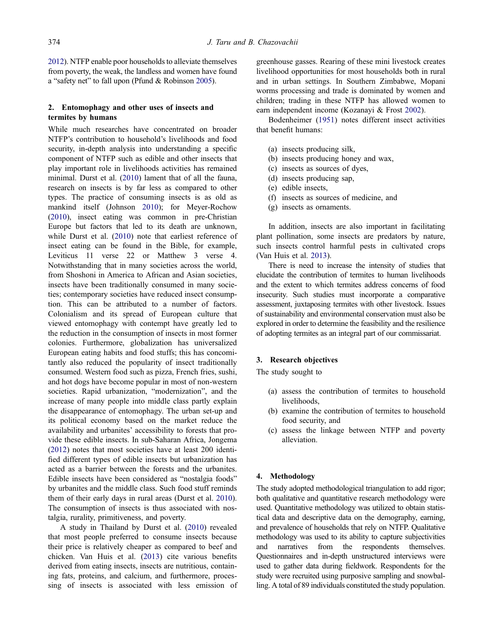<span id="page-2-0"></span>[2012\)](#page-5-0). NTFP enable poor households to alleviate themselves from poverty, the weak, the landless and women have found a "safety net" to fall upon (Pfund & Robinson [2005\)](#page-5-0).

# 2. Entomophagy and other uses of insects and termites by humans

While much researches have concentrated on broader NTFP's contribution to household's livelihoods and food security, in-depth analysis into understanding a specific component of NTFP such as edible and other insects that play important role in livelihoods activities has remained minimal. Durst et al. [\(2010](#page-5-0)) lament that of all the fauna, research on insects is by far less as compared to other types. The practice of consuming insects is as old as mankind itself (Johnson [2010\)](#page-5-0); for Meyer-Rochow ([2010](#page-5-0)), insect eating was common in pre-Christian Europe but factors that led to its death are unknown, while Durst et al. [\(2010](#page-5-0)) note that earliest reference of insect eating can be found in the Bible, for example, Leviticus 11 verse 22 or Matthew 3 verse 4. Notwithstanding that in many societies across the world, from Shoshoni in America to African and Asian societies, insects have been traditionally consumed in many societies; contemporary societies have reduced insect consumption. This can be attributed to a number of factors. Colonialism and its spread of European culture that viewed entomophagy with contempt have greatly led to the reduction in the consumption of insects in most former colonies. Furthermore, globalization has universalized European eating habits and food stuffs; this has concomitantly also reduced the popularity of insect traditionally consumed. Western food such as pizza, French fries, sushi, and hot dogs have become popular in most of non-western societies. Rapid urbanization, "modernization", and the increase of many people into middle class partly explain the disappearance of entomophagy. The urban set-up and its political economy based on the market reduce the availability and urbanites' accessibility to forests that provide these edible insects. In sub-Saharan Africa, Jongema ([2012](#page-5-0)) notes that most societies have at least 200 identified different types of edible insects but urbanization has acted as a barrier between the forests and the urbanites. Edible insects have been considered as "nostalgia foods" by urbanites and the middle class. Such food stuff reminds them of their early days in rural areas (Durst et al. [2010\)](#page-5-0). The consumption of insects is thus associated with nostalgia, rurality, primitiveness, and poverty.

A study in Thailand by Durst et al. ([2010\)](#page-5-0) revealed that most people preferred to consume insects because their price is relatively cheaper as compared to beef and chicken. Van Huis et al. [\(2013](#page-6-0)) cite various benefits derived from eating insects, insects are nutritious, containing fats, proteins, and calcium, and furthermore, processing of insects is associated with less emission of greenhouse gasses. Rearing of these mini livestock creates livelihood opportunities for most households both in rural and in urban settings. In Southern Zimbabwe, Mopani worms processing and trade is dominated by women and children; trading in these NTFP has allowed women to earn independent income (Kozanayi & Frost [2002\)](#page-5-0).

Bodenheimer ([1951\)](#page-5-0) notes different insect activities that benefit humans:

- (a) insects producing silk,
- (b) insects producing honey and wax,
- (c) insects as sources of dyes,
- (d) insects producing sap,
- (e) edible insects,
- (f) insects as sources of medicine, and
- (g) insects as ornaments.

In addition, insects are also important in facilitating plant pollination, some insects are predators by nature, such insects control harmful pests in cultivated crops (Van Huis et al. [2013\)](#page-6-0).

There is need to increase the intensity of studies that elucidate the contribution of termites to human livelihoods and the extent to which termites address concerns of food insecurity. Such studies must incorporate a comparative assessment, juxtaposing termites with other livestock. Issues of sustainability and environmental conservation must also be explored in order to determine the feasibility and the resilience of adopting termites as an integral part of our commissariat.

## 3. Research objectives

The study sought to

- (a) assess the contribution of termites to household livelihoods,
- (b) examine the contribution of termites to household food security, and
- (c) assess the linkage between NTFP and poverty alleviation.

# 4. Methodology

The study adopted methodological triangulation to add rigor; both qualitative and quantitative research methodology were used. Quantitative methodology was utilized to obtain statistical data and descriptive data on the demography, earning, and prevalence of households that rely on NTFP. Qualitative methodology was used to its ability to capture subjectivities and narratives from the respondents themselves. Questionnaires and in-depth unstructured interviews were used to gather data during fieldwork. Respondents for the study were recruited using purposive sampling and snowballing. A total of 89 individuals constituted the study population.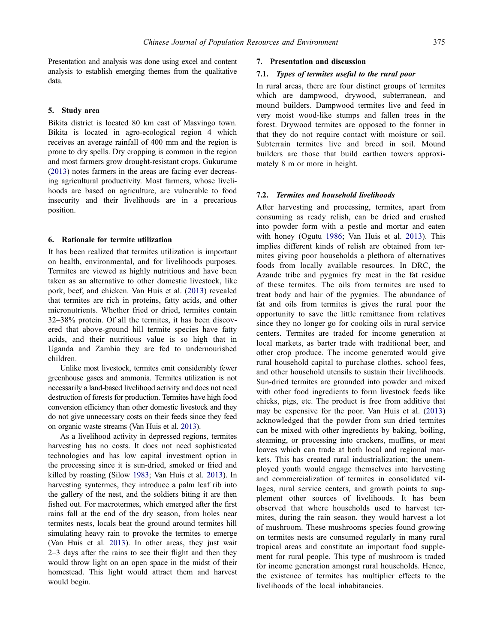<span id="page-3-0"></span>Presentation and analysis was done using excel and content analysis to establish emerging themes from the qualitative data.

## 5. Study area

Bikita district is located 80 km east of Masvingo town. Bikita is located in agro-ecological region 4 which receives an average rainfall of 400 mm and the region is prone to dry spells. Dry cropping is common in the region and most farmers grow drought-resistant crops. Gukurume ([2013](#page-5-0)) notes farmers in the areas are facing ever decreasing agricultural productivity. Most farmers, whose livelihoods are based on agriculture, are vulnerable to food insecurity and their livelihoods are in a precarious position.

#### 6. Rationale for termite utilization

It has been realized that termites utilization is important on health, environmental, and for livelihoods purposes. Termites are viewed as highly nutritious and have been taken as an alternative to other domestic livestock, like pork, beef, and chicken. Van Huis et al. [\(2013\)](#page-6-0) revealed that termites are rich in proteins, fatty acids, and other micronutrients. Whether fried or dried, termites contain 32–38% protein. Of all the termites, it has been discovered that above-ground hill termite species have fatty acids, and their nutritious value is so high that in Uganda and Zambia they are fed to undernourished children.

Unlike most livestock, termites emit considerably fewer greenhouse gases and ammonia. Termites utilization is not necessarily a land-based livelihood activity and does not need destruction of forests for production. Termites have high food conversion efficiency than other domestic livestock and they do not give unnecessary costs on their feeds since they feed on organic waste streams (Van Huis et al. [2013](#page-6-0)).

As a livelihood activity in depressed regions, termites harvesting has no costs. It does not need sophisticated technologies and has low capital investment option in the processing since it is sun-dried, smoked or fried and killed by roasting (Silow [1983;](#page-6-0) Van Huis et al. [2013](#page-6-0)). In harvesting syntermes, they introduce a palm leaf rib into the gallery of the nest, and the soldiers biting it are then fished out. For macrotermes, which emerged after the first rains fall at the end of the dry season, from holes near termites nests, locals beat the ground around termites hill simulating heavy rain to provoke the termites to emerge (Van Huis et al. [2013\)](#page-6-0). In other areas, they just wait 2–3 days after the rains to see their flight and then they would throw light on an open space in the midst of their homestead. This light would attract them and harvest would begin.

#### 7. Presentation and discussion

## 7.1. Types of termites useful to the rural poor

In rural areas, there are four distinct groups of termites which are dampwood, drywood, subterranean, and mound builders. Dampwood termites live and feed in very moist wood-like stumps and fallen trees in the forest. Drywood termites are opposed to the former in that they do not require contact with moisture or soil. Subterrain termites live and breed in soil. Mound builders are those that build earthen towers approximately 8 m or more in height.

#### 7.2. Termites and household livelihoods

After harvesting and processing, termites, apart from consuming as ready relish, can be dried and crushed into powder form with a pestle and mortar and eaten with honey (Ogutu [1986](#page-5-0); Van Huis et al. [2013](#page-6-0)). This implies different kinds of relish are obtained from termites giving poor households a plethora of alternatives foods from locally available resources. In DRC, the Azande tribe and pygmies fry meat in the fat residue of these termites. The oils from termites are used to treat body and hair of the pygmies. The abundance of fat and oils from termites is gives the rural poor the opportunity to save the little remittance from relatives since they no longer go for cooking oils in rural service centers. Termites are traded for income generation at local markets, as barter trade with traditional beer, and other crop produce. The income generated would give rural household capital to purchase clothes, school fees, and other household utensils to sustain their livelihoods. Sun-dried termites are grounded into powder and mixed with other food ingredients to form livestock feeds like chicks, pigs, etc. The product is free from additive that may be expensive for the poor. Van Huis et al. ([2013](#page-6-0)) acknowledged that the powder from sun dried termites can be mixed with other ingredients by baking, boiling, steaming, or processing into crackers, muffins, or meat loaves which can trade at both local and regional markets. This has created rural industrialization; the unemployed youth would engage themselves into harvesting and commercialization of termites in consolidated villages, rural service centers, and growth points to supplement other sources of livelihoods. It has been observed that where households used to harvest termites, during the rain season, they would harvest a lot of mushroom. These mushrooms species found growing on termites nests are consumed regularly in many rural tropical areas and constitute an important food supplement for rural people. This type of mushroom is traded for income generation amongst rural households. Hence, the existence of termites has multiplier effects to the livelihoods of the local inhabitancies.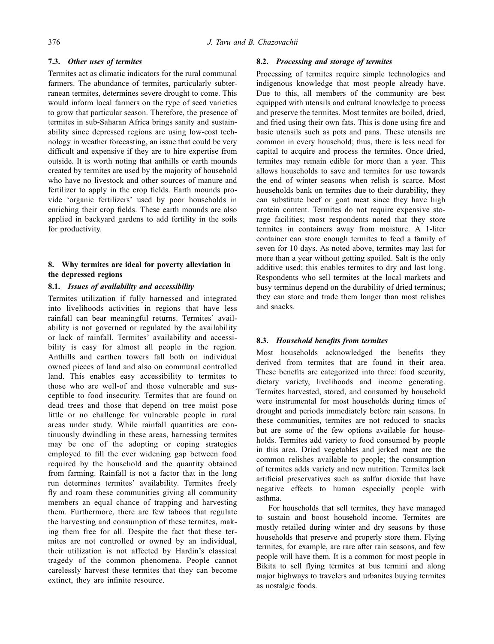# 7.3. Other uses of termites

Termites act as climatic indicators for the rural communal farmers. The abundance of termites, particularly subterranean termites, determines severe drought to come. This would inform local farmers on the type of seed varieties to grow that particular season. Therefore, the presence of termites in sub-Saharan Africa brings sanity and sustainability since depressed regions are using low-cost technology in weather forecasting, an issue that could be very difficult and expensive if they are to hire expertise from outside. It is worth noting that anthills or earth mounds created by termites are used by the majority of household who have no livestock and other sources of manure and fertilizer to apply in the crop fields. Earth mounds provide 'organic fertilizers' used by poor households in enriching their crop fields. These earth mounds are also applied in backyard gardens to add fertility in the soils for productivity.

# 8. Why termites are ideal for poverty alleviation in the depressed regions

# 8.1. Issues of availability and accessibility

Termites utilization if fully harnessed and integrated into livelihoods activities in regions that have less rainfall can bear meaningful returns. Termites' availability is not governed or regulated by the availability or lack of rainfall. Termites' availability and accessibility is easy for almost all people in the region. Anthills and earthen towers fall both on individual owned pieces of land and also on communal controlled land. This enables easy accessibility to termites to those who are well-of and those vulnerable and susceptible to food insecurity. Termites that are found on dead trees and those that depend on tree moist pose little or no challenge for vulnerable people in rural areas under study. While rainfall quantities are continuously dwindling in these areas, harnessing termites may be one of the adopting or coping strategies employed to fill the ever widening gap between food required by the household and the quantity obtained from farming. Rainfall is not a factor that in the long run determines termites' availability. Termites freely fly and roam these communities giving all community members an equal chance of trapping and harvesting them. Furthermore, there are few taboos that regulate the harvesting and consumption of these termites, making them free for all. Despite the fact that these termites are not controlled or owned by an individual, their utilization is not affected by Hardin's classical tragedy of the common phenomena. People cannot carelessly harvest these termites that they can become extinct, they are infinite resource.

## 8.2. Processing and storage of termites

Processing of termites require simple technologies and indigenous knowledge that most people already have. Due to this, all members of the community are best equipped with utensils and cultural knowledge to process and preserve the termites. Most termites are boiled, dried, and fried using their own fats. This is done using fire and basic utensils such as pots and pans. These utensils are common in every household; thus, there is less need for capital to acquire and process the termites. Once dried, termites may remain edible for more than a year. This allows households to save and termites for use towards the end of winter seasons when relish is scarce. Most households bank on termites due to their durability, they can substitute beef or goat meat since they have high protein content. Termites do not require expensive storage facilities; most respondents noted that they store termites in containers away from moisture. A 1-liter container can store enough termites to feed a family of seven for 10 days. As noted above, termites may last for more than a year without getting spoiled. Salt is the only additive used; this enables termites to dry and last long. Respondents who sell termites at the local markets and busy terminus depend on the durability of dried terminus; they can store and trade them longer than most relishes and snacks.

## 8.3. Household benefits from termites

Most households acknowledged the benefits they derived from termites that are found in their area. These benefits are categorized into three: food security, dietary variety, livelihoods and income generating. Termites harvested, stored, and consumed by household were instrumental for most households during times of drought and periods immediately before rain seasons. In these communities, termites are not reduced to snacks but are some of the few options available for households. Termites add variety to food consumed by people in this area. Dried vegetables and jerked meat are the common relishes available to people; the consumption of termites adds variety and new nutrition. Termites lack artificial preservatives such as sulfur dioxide that have negative effects to human especially people with asthma.

For households that sell termites, they have managed to sustain and boost household income. Termites are mostly retailed during winter and dry seasons by those households that preserve and properly store them. Flying termites, for example, are rare after rain seasons, and few people will have them. It is a common for most people in Bikita to sell flying termites at bus termini and along major highways to travelers and urbanites buying termites as nostalgic foods.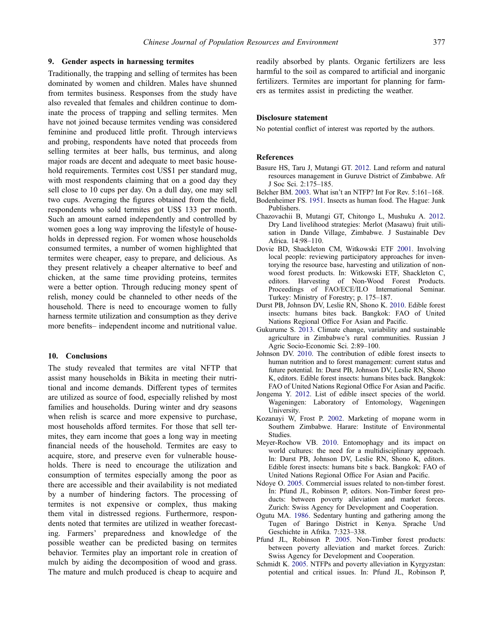#### <span id="page-5-0"></span>9. Gender aspects in harnessing termites

Traditionally, the trapping and selling of termites has been dominated by women and children. Males have shunned from termites business. Responses from the study have also revealed that females and children continue to dominate the process of trapping and selling termites. Men have not joined because termites vending was considered feminine and produced little profit. Through interviews and probing, respondents have noted that proceeds from selling termites at beer halls, bus terminus, and along major roads are decent and adequate to meet basic household requirements. Termites cost US\$1 per standard mug, with most respondents claiming that on a good day they sell close to 10 cups per day. On a dull day, one may sell two cups. Averaging the figures obtained from the field, respondents who sold termites got US\$ 133 per month. Such an amount earned independently and controlled by women goes a long way improving the lifestyle of households in depressed region. For women whose households consumed termites, a number of women highlighted that termites were cheaper, easy to prepare, and delicious. As they present relatively a cheaper alternative to beef and chicken, at the same time providing proteins, termites were a better option. Through reducing money spent of relish, money could be channeled to other needs of the household. There is need to encourage women to fully harness termite utilization and consumption as they derive more benefits– independent income and nutritional value.

## 10. Conclusions

The study revealed that termites are vital NFTP that assist many households in Bikita in meeting their nutritional and income demands. Different types of termites are utilized as source of food, especially relished by most families and households. During winter and dry seasons when relish is scarce and more expensive to purchase, most households afford termites. For those that sell termites, they earn income that goes a long way in meeting financial needs of the household. Termites are easy to acquire, store, and preserve even for vulnerable households. There is need to encourage the utilization and consumption of termites especially among the poor as there are accessible and their availability is not mediated by a number of hindering factors. The processing of termites is not expensive or complex, thus making them vital in distressed regions. Furthermore, respondents noted that termites are utilized in weather forecasting. Farmers' preparedness and knowledge of the possible weather can be predicted basing on termites behavior. Termites play an important role in creation of mulch by aiding the decomposition of wood and grass. The mature and mulch produced is cheap to acquire and

readily absorbed by plants. Organic fertilizers are less harmful to the soil as compared to artificial and inorganic fertilizers. Termites are important for planning for farmers as termites assist in predicting the weather.

#### Disclosure statement

No potential conflict of interest was reported by the authors.

#### **References**

Basure HS, Taru J, Mutangi GT. [2012.](#page-1-0) Land reform and natural resources management in Guruve District of Zimbabwe. Afr J Soc Sci. 2:175–185.

Belcher BM. [2003.](#page-1-0) What isn't an NTFP? Int For Rev. 5:161–168.

- Bodenheimer FS. [1951](#page-2-0). Insects as human food. The Hague: Junk Publishers.
- Chazovachii B, Mutangi GT, Chitongo L, Mushuku A. [2012](#page-1-0). Dry Land livelihood strategies: Merlot (Masawu) fruit utilisation in Dande Village, Zimbabwe. J Sustainable Dev Africa. 14:98–110.
- Dovie BD, Shackleton CM, Witkowski ETF [2001](#page-1-0). Involving local people: reviewing participatory approaches for inventorying the resource base, harvesting and utilization of nonwood forest products. In: Witkowski ETF, Shackleton C, editors. Harvesting of Non-Wood Forest Products. Proceedings of FAO/ECE/ILO International Seminar. Turkey: Ministry of Forestry; p. 175–187.
- Durst PB, Johnson DV, Leslie RN, Shono K. [2010.](#page-2-0) Edible forest insects: humans bites back. Bangkok: FAO of United Nations Regional Office For Asian and Pacific.
- Gukurume S. [2013](#page-3-0). Climate change, variability and sustainable agriculture in Zimbabwe's rural communities. Russian J Agric Socio-Economic Sci. 2:89–100.
- Johnson DV. [2010.](#page-2-0) The contribution of edible forest insects to human nutrition and to forest management: current status and future potential. In: Durst PB, Johnson DV, Leslie RN, Shono K, editors. Edible forest insects: humans bites back. Bangkok: FAO of United Nations Regional Office For Asian and Pacific.
- Jongema Y. [2012](#page-2-0). List of edible insect species of the world. Wageningen: Laboratory of Entomology, Wageningen University.
- Kozanayi W, Frost P. [2002](#page-2-0). Marketing of mopane worm in Southern Zimbabwe. Harare: Institute of Environmental Studies.
- Meyer-Rochow VB. [2010.](#page-2-0) Entomophagy and its impact on world cultures: the need for a multidisciplinary approach. In: Durst PB, Johnson DV, Leslie RN, Shono K, editors. Edible forest insects: humans bite s back. Bangkok: FAO of United Nations Regional Office For Asian and Pacific.
- Ndoye O. [2005](#page-1-0). Commercial issues related to non-timber forest. In: Pfund JL, Robinson P, editors. Non-Timber forest products: between poverty alleviation and market forces. Zurich: Swiss Agency for Development and Cooperation.
- Ogutu MA. [1986.](#page-3-0) Sedentary hunting and gathering among the Tugen of Baringo District in Kenya. Sprache Und Geschichte in Afrika. 7:323–338.
- Pfund JL, Robinson P. [2005.](#page-1-0) Non-Timber forest products: between poverty alleviation and market forces. Zurich: Swiss Agency for Development and Cooperation.
- Schmidt K. [2005](#page-1-0). NTFPs and poverty alleviation in Kyrgyzstan: potential and critical issues. In: Pfund JL, Robinson P,